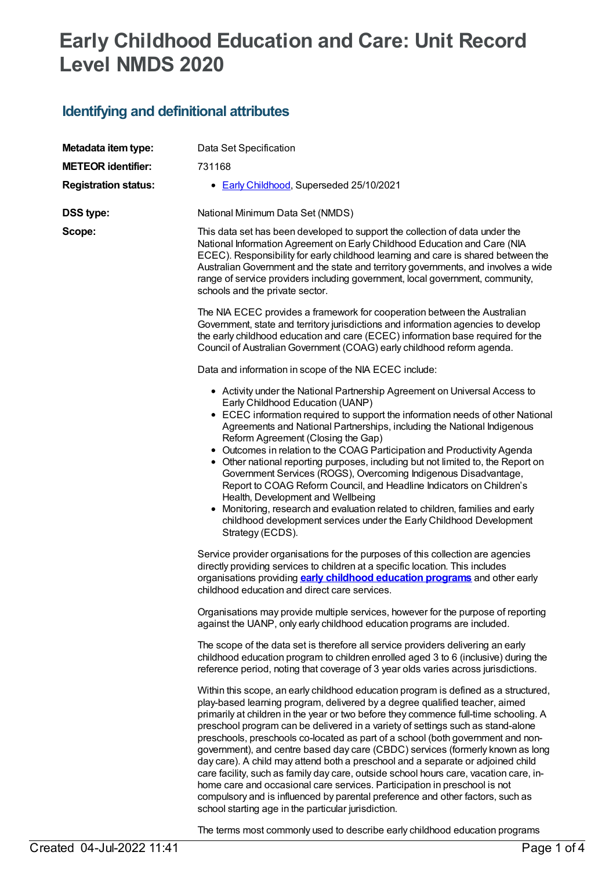# **Early Childhood Education and Care: Unit Record Level NMDS 2020**

## **Identifying and definitional attributes**

| Metadata item type:         | Data Set Specification                                                                                                                                                                                                                                                                                                                                                                                                                                                                                                                                                                                                                                                                                                                                                                                                                                                                                               |
|-----------------------------|----------------------------------------------------------------------------------------------------------------------------------------------------------------------------------------------------------------------------------------------------------------------------------------------------------------------------------------------------------------------------------------------------------------------------------------------------------------------------------------------------------------------------------------------------------------------------------------------------------------------------------------------------------------------------------------------------------------------------------------------------------------------------------------------------------------------------------------------------------------------------------------------------------------------|
| <b>METEOR identifier:</b>   | 731168                                                                                                                                                                                                                                                                                                                                                                                                                                                                                                                                                                                                                                                                                                                                                                                                                                                                                                               |
| <b>Registration status:</b> | • Early Childhood, Superseded 25/10/2021                                                                                                                                                                                                                                                                                                                                                                                                                                                                                                                                                                                                                                                                                                                                                                                                                                                                             |
| <b>DSS type:</b>            | National Minimum Data Set (NMDS)                                                                                                                                                                                                                                                                                                                                                                                                                                                                                                                                                                                                                                                                                                                                                                                                                                                                                     |
| Scope:                      | This data set has been developed to support the collection of data under the<br>National Information Agreement on Early Childhood Education and Care (NIA<br>ECEC). Responsibility for early childhood learning and care is shared between the<br>Australian Government and the state and territory governments, and involves a wide<br>range of service providers including government, local government, community,<br>schools and the private sector.                                                                                                                                                                                                                                                                                                                                                                                                                                                             |
|                             | The NIA ECEC provides a framework for cooperation between the Australian<br>Government, state and territory jurisdictions and information agencies to develop<br>the early childhood education and care (ECEC) information base required for the<br>Council of Australian Government (COAG) early childhood reform agenda.                                                                                                                                                                                                                                                                                                                                                                                                                                                                                                                                                                                           |
|                             | Data and information in scope of the NIA ECEC include:                                                                                                                                                                                                                                                                                                                                                                                                                                                                                                                                                                                                                                                                                                                                                                                                                                                               |
|                             | • Activity under the National Partnership Agreement on Universal Access to<br>Early Childhood Education (UANP)<br>• ECEC information required to support the information needs of other National<br>Agreements and National Partnerships, including the National Indigenous<br>Reform Agreement (Closing the Gap)<br>• Outcomes in relation to the COAG Participation and Productivity Agenda<br>• Other national reporting purposes, including but not limited to, the Report on<br>Government Services (ROGS), Overcoming Indigenous Disadvantage,<br>Report to COAG Reform Council, and Headline Indicators on Children's<br>Health, Development and Wellbeing<br>• Monitoring, research and evaluation related to children, families and early<br>childhood development services under the Early Childhood Development<br>Strategy (ECDS).                                                                       |
|                             | Service provider organisations for the purposes of this collection are agencies<br>directly providing services to children at a specific location. This includes<br>organisations providing <b>early childhood education programs</b> and other early<br>childhood education and direct care services.                                                                                                                                                                                                                                                                                                                                                                                                                                                                                                                                                                                                               |
|                             | Organisations may provide multiple services, however for the purpose of reporting<br>against the UANP, only early childhood education programs are included.                                                                                                                                                                                                                                                                                                                                                                                                                                                                                                                                                                                                                                                                                                                                                         |
|                             | The scope of the data set is therefore all service providers delivering an early<br>childhood education program to children enrolled aged 3 to 6 (inclusive) during the<br>reference period, noting that coverage of 3 year olds varies across jurisdictions.                                                                                                                                                                                                                                                                                                                                                                                                                                                                                                                                                                                                                                                        |
|                             | Within this scope, an early childhood education program is defined as a structured,<br>play-based learning program, delivered by a degree qualified teacher, aimed<br>primarily at children in the year or two before they commence full-time schooling. A<br>preschool program can be delivered in a variety of settings such as stand-alone<br>preschools, preschools co-located as part of a school (both government and non-<br>government), and centre based day care (CBDC) services (formerly known as long<br>day care). A child may attend both a preschool and a separate or adjoined child<br>care facility, such as family day care, outside school hours care, vacation care, in-<br>home care and occasional care services. Participation in preschool is not<br>compulsory and is influenced by parental preference and other factors, such as<br>school starting age in the particular jurisdiction. |

The terms most commonly used to describe early childhood education programs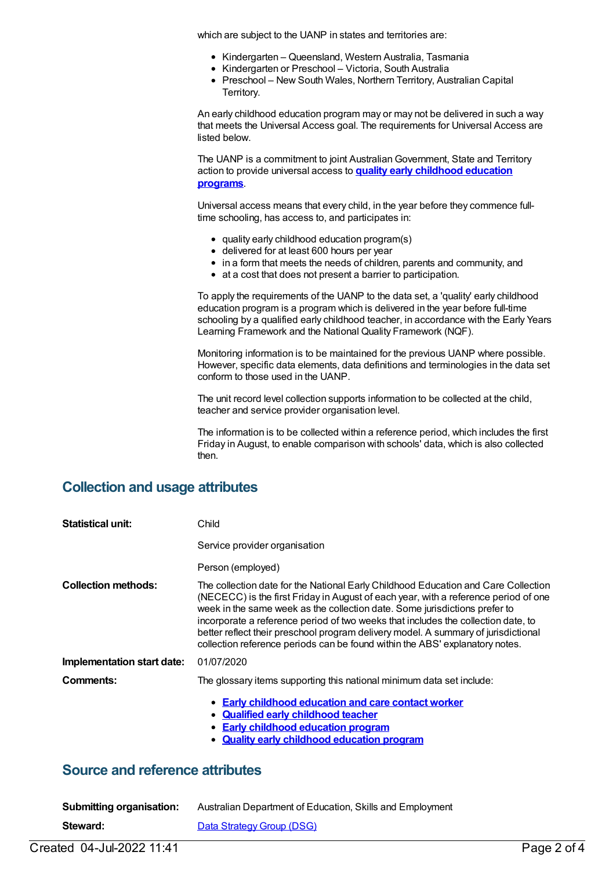which are subject to the UANP in states and territories are:

- Kindergarten Queensland, Western Australia, Tasmania
- Kindergarten or Preschool Victoria, South Australia
- Preschool New South Wales, Northern Territory, Australian Capital Territory.

An early childhood education program may or may not be delivered in such a way that meets the Universal Access goal. The requirements for Universal Access are listed below.

The UANP is a commitment to joint Australian Government, State and Territory action to provide universal access to **quality early [childhood](https://meteor.aihw.gov.au/content/606533) education programs**.

Universal access means that every child, in the year before they commence fulltime schooling, has access to, and participates in:

- quality early childhood education program(s)
- delivered for at least 600 hours per year
- in a form that meets the needs of children, parents and community, and
- at a cost that does not present a barrier to participation.

To apply the requirements of the UANP to the data set, a 'quality' early childhood education program is a program which is delivered in the year before full-time schooling by a qualified early childhood teacher, in accordance with the Early Years Learning Framework and the National Quality Framework (NQF).

Monitoring information is to be maintained for the previous UANP where possible. However, specific data elements, data definitions and terminologies in the data set conform to those used in the UANP.

The unit record level collection supports information to be collected at the child, teacher and service provider organisation level.

The information is to be collected within a reference period, which includes the first Friday in August, to enable comparison with schools' data, which is also collected then.

#### **Collection and usage attributes**

| <b>Statistical unit:</b>   | Child                                                                                                                                                                                                                                                                                                                                                                                                                                                                                                              |
|----------------------------|--------------------------------------------------------------------------------------------------------------------------------------------------------------------------------------------------------------------------------------------------------------------------------------------------------------------------------------------------------------------------------------------------------------------------------------------------------------------------------------------------------------------|
|                            | Service provider organisation                                                                                                                                                                                                                                                                                                                                                                                                                                                                                      |
|                            | Person (employed)                                                                                                                                                                                                                                                                                                                                                                                                                                                                                                  |
| <b>Collection methods:</b> | The collection date for the National Early Childhood Education and Care Collection<br>(NECECC) is the first Friday in August of each year, with a reference period of one<br>week in the same week as the collection date. Some jurisdictions prefer to<br>incorporate a reference period of two weeks that includes the collection date, to<br>better reflect their preschool program delivery model. A summary of jurisdictional<br>collection reference periods can be found within the ABS' explanatory notes. |
| Implementation start date: | 01/07/2020                                                                                                                                                                                                                                                                                                                                                                                                                                                                                                         |
| Comments:                  | The glossary items supporting this national minimum data set include:                                                                                                                                                                                                                                                                                                                                                                                                                                              |
|                            | • Early childhood education and care contact worker<br>• Qualified early childhood teacher<br>• Early childhood education program<br><b>Quality early childhood education program</b>                                                                                                                                                                                                                                                                                                                              |

#### **Source and reference attributes**

| Submitting organisation: | Australian Department of Education, Skills and Employment |
|--------------------------|-----------------------------------------------------------|
| Steward:                 | Data Strategy Group (DSG)                                 |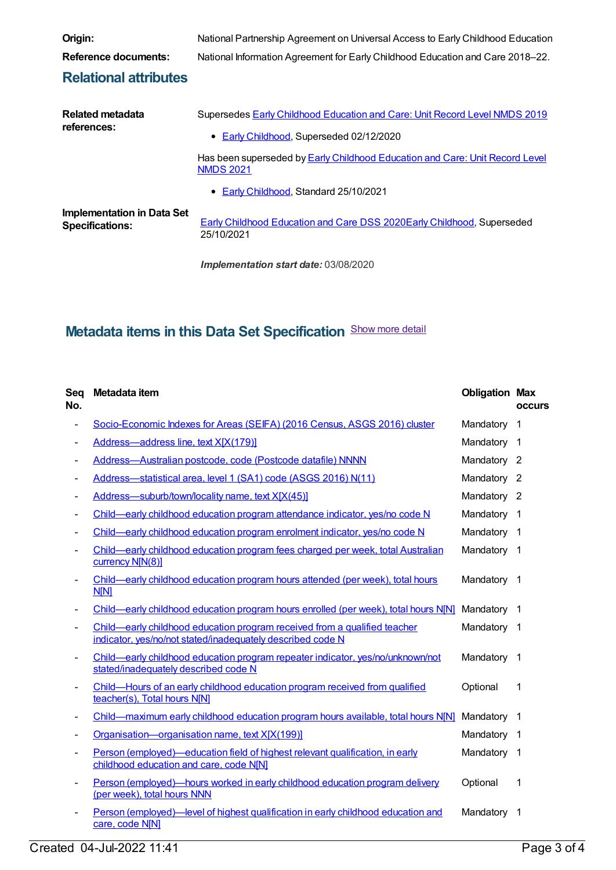|         | Ш |   |
|---------|---|---|
|         |   | п |
| ×<br>۰, |   |   |

**Reference documents:** National Information Agreement for Early Childhood Education and Care 2018–22.

### **Relational attributes**

**Related metadata references:** Supersedes Early Childhood [Education](https://meteor.aihw.gov.au/content/731157) and Care: Unit Record Level NMDS 2019 • Early [Childhood](https://meteor.aihw.gov.au/RegistrationAuthority/13), Superseded 02/12/2020 Has been [superseded](https://meteor.aihw.gov.au/content/745996) by **Early Childhood Education and Care: Unit Record Level** NMDS 2021 **Early [Childhood](https://meteor.aihw.gov.au/RegistrationAuthority/13), Standard 25/10/2021 Implementation in Data Set Specifications:** Early Childhood [Education](https://meteor.aihw.gov.au/content/731165) and Care DSS 2020Early [Childhood](https://meteor.aihw.gov.au/RegistrationAuthority/13), Superseded 25/10/2021

**Origin:** National Partnership Agreement on Universal Access to Early Childhood Education

*Implementation start date:* 03/08/2020

## **Metadata items in this Data Set Specification** Show more detail

| Seq<br>No.     | Metadata item                                                                                                                           | <b>Obligation Max</b> | occurs                   |
|----------------|-----------------------------------------------------------------------------------------------------------------------------------------|-----------------------|--------------------------|
| -              | Socio-Economic Indexes for Areas (SEIFA) (2016 Census, ASGS 2016) cluster                                                               | Mandatory             | 1                        |
|                | Address-address line, text X[X(179)]                                                                                                    | Mandatory             | -1                       |
|                | Address-Australian postcode, code (Postcode datafile) NNNN                                                                              | Mandatory 2           |                          |
|                | Address-statistical area, level 1 (SA1) code (ASGS 2016) N(11)                                                                          | Mandatory 2           |                          |
|                | Address-suburb/town/locality name, text X[X(45)]                                                                                        | Mandatory 2           |                          |
|                | Child—early childhood education program attendance indicator, yes/no code N                                                             | Mandatory 1           |                          |
|                | Child—early childhood education program enrolment indicator, yes/no code N                                                              | Mandatory             | $\overline{1}$           |
|                | Child—early childhood education program fees charged per week, total Australian<br>currency N[N(8)]                                     | Mandatory 1           |                          |
|                | Child—early childhood education program hours attended (per week), total hours<br><b>N[N]</b>                                           | Mandatory 1           |                          |
|                | Child—early childhood education program hours enrolled (per week), total hours N[N]                                                     | Mandatory             | $\overline{1}$           |
|                | Child—early childhood education program received from a qualified teacher<br>indicator, yes/no/not stated/inadequately described code N | Mandatory 1           |                          |
| -              | Child-early childhood education program repeater indicator, yes/no/unknown/not<br>stated/inadequately described code N                  | Mandatory             | $\overline{\phantom{0}}$ |
| ٠              | Child-Hours of an early childhood education program received from qualified<br>teacher(s), Total hours N[N]                             | Optional              | 1                        |
|                | Child—maximum early childhood education program hours available, total hours N[N]                                                       | Mandatory             | $\mathbf{1}$             |
|                | Organisation-organisation name, text X[X(199)]                                                                                          | Mandatory             | $\overline{\mathbf{1}}$  |
| $\blacksquare$ | Person (employed)—education field of highest relevant qualification, in early<br>childhood education and care, code N[N]                | Mandatory             | $\mathbf 1$              |
|                | Person (employed)—hours worked in early childhood education program delivery<br>(per week), total hours NNN                             | Optional              | 1                        |
|                | Person (employed)—level of highest qualification in early childhood education and<br>care, code N[N]                                    | Mandatory             | 1                        |